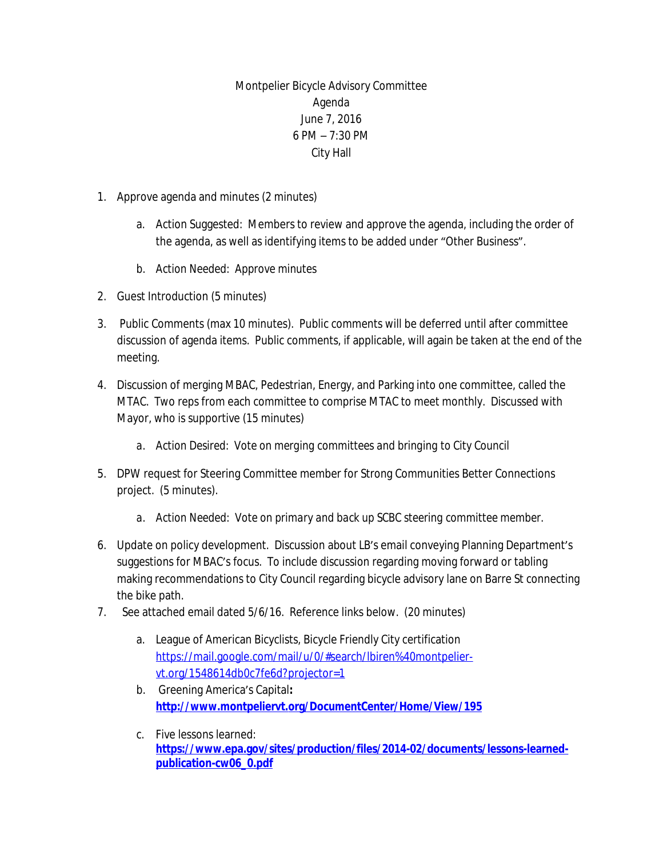Montpelier Bicycle Advisory Committee Agenda June 7, 2016 6 PM – 7:30 PM City Hall

- 1. Approve agenda and minutes (2 minutes)
	- a. Action Suggested: Members to review and approve the agenda, including the order of the agenda, as well as identifying items to be added under "Other Business".
	- *b. Action Needed: Approve minutes*
- 2. Guest Introduction (5 minutes)
- 3. Public Comments (max 10 minutes). Public comments will be deferred until after committee discussion of agenda items. Public comments, if applicable, will again be taken at the end of the meeting.
- 4. Discussion of merging MBAC, Pedestrian, Energy, and Parking into one committee, called the MTAC. Two reps from each committee to comprise MTAC to meet monthly. Discussed with Mayor, who is supportive (15 minutes)
	- *a. Action Desired: Vote on merging committees and bringing to City Council*
- 5. DPW request for Steering Committee member for Strong Communities Better Connections project. (5 minutes).
	- *a. Action Needed: Vote on primary and back up SCBC steering committee member.*
- 6. Update on policy development. Discussion about LB's email conveying Planning Department's suggestions for MBAC's focus. To include discussion regarding moving forward or tabling making recommendations to City Council regarding bicycle advisory lane on Barre St connecting the bike path.
- 7. See attached email dated 5/6/16. Reference links below. (20 minutes)
	- a. League of American Bicyclists, Bicycle Friendly City certification [https://mail.google.com/mail/u/0/#search/lbiren%40montpelier](https://mail.google.com/mail/u/0/%23search/lbiren%40montpelier-vt.org/1548614db0c7fe6d?projector=1)vt.org/1548614db0c7fe6d?projector=1
	- b. Greening America's Capital**: <http://www.montpeliervt.org/DocumentCenter/Home/View/195>**
	- c. Five lessons learned: **[https://www.epa.gov/sites/production/files/2014-02/documents/lessons-learned](https://www.epa.gov/sites/production/files/2014-02/documents/lessons-learned-publication-cw06_0.pdf)publication-cw06\_0.pdf**